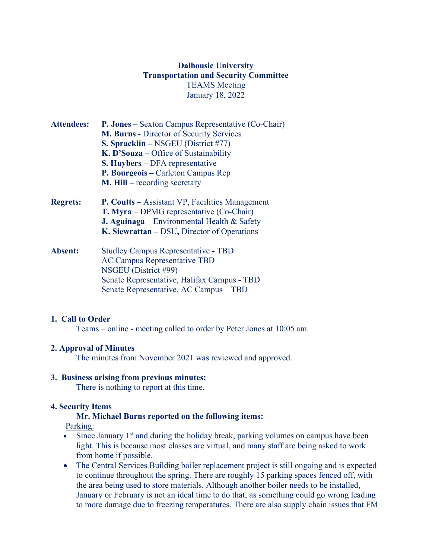# **Dalhousie University Transportation and Security Committee** TEAMS Meeting January 18, 2022

- **Attendees: P. Jones** Sexton Campus Representative (Co-Chair) **M. Burns -** Director of Security Services **S. Spracklin –** NSGEU (District #77) **K. D'Souza** – Office of Sustainability **S. Huybers** – DFA representative **P. Bourgeois –** Carleton Campus Rep **M. Hill –** recording secretary
- **Regrets: P. Coutts** Assistant VP, Facilities Management **T. Myra** – DPMG representative (Co-Chair) **J. Aguinaga** – Environmental Health & Safety **K. Siewrattan –** DSU**,** Director of Operations
- **Absent:** Studley Campus RepresentativeTBD AC Campus Representative TBD NSGEU (District #99) Senate Representative, Halifax Campus **-** TBD Senate Representative, AC Campus – TBD

## **1. Call to Order**

Teams – online - meeting called to order by Peter Jones at 10:05 am.

# **2. Approval of Minutes**

The minutes from November 2021 was reviewed and approved.

## **3. Business arising from previous minutes:**

There is nothing to report at this time.

# **4. Security Items**

# **Mr. Michael Burns reported on the following items:**

Parking:

- Since January  $1<sup>st</sup>$  and during the holiday break, parking volumes on campus have been light. This is because most classes are virtual, and many staff are being asked to work from home if possible.
- The Central Services Building boiler replacement project is still ongoing and is expected to continue throughout the spring. There are roughly 15 parking spaces fenced off, with the area being used to store materials. Although another boiler needs to be installed, January or February is not an ideal time to do that, as something could go wrong leading to more damage due to freezing temperatures. There are also supply chain issues that FM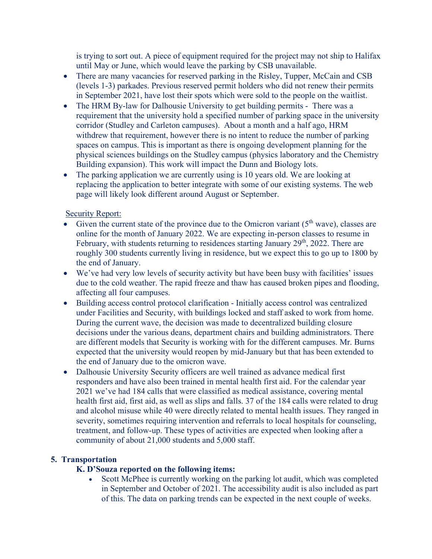is trying to sort out. A piece of equipment required for the project may not ship to Halifax until May or June, which would leave the parking by CSB unavailable.

- There are many vacancies for reserved parking in the Risley, Tupper, McCain and CSB (levels 1-3) parkades. Previous reserved permit holders who did not renew their permits in September 2021, have lost their spots which were sold to the people on the waitlist.
- The HRM By-law for Dalhousie University to get building permits There was a requirement that the university hold a specified number of parking space in the university corridor (Studley and Carleton campuses). About a month and a half ago, HRM withdrew that requirement, however there is no intent to reduce the number of parking spaces on campus. This is important as there is ongoing development planning for the physical sciences buildings on the Studley campus (physics laboratory and the Chemistry Building expansion). This work will impact the Dunn and Biology lots.
- The parking application we are currently using is 10 years old. We are looking at replacing the application to better integrate with some of our existing systems. The web page will likely look different around August or September.

## Security Report:

- Given the current state of the province due to the Omicron variant  $(5<sup>th</sup>$  wave), classes are online for the month of January 2022. We are expecting in-person classes to resume in February, with students returning to residences starting January  $29<sup>th</sup>$ , 2022. There are roughly 300 students currently living in residence, but we expect this to go up to 1800 by the end of January.
- We've had very low levels of security activity but have been busy with facilities' issues due to the cold weather. The rapid freeze and thaw has caused broken pipes and flooding, affecting all four campuses.
- Building access control protocol clarification Initially access control was centralized under Facilities and Security, with buildings locked and staff asked to work from home. During the current wave, the decision was made to decentralized building closure decisions under the various deans, department chairs and building administrators. There are different models that Security is working with for the different campuses. Mr. Burns expected that the university would reopen by mid-January but that has been extended to the end of January due to the omicron wave.
- Dalhousie University Security officers are well trained as advance medical first responders and have also been trained in mental health first aid. For the calendar year 2021 we've had 184 calls that were classified as medical assistance, covering mental health first aid, first aid, as well as slips and falls. 37 of the 184 calls were related to drug and alcohol misuse while 40 were directly related to mental health issues. They ranged in severity, sometimes requiring intervention and referrals to local hospitals for counseling, treatment, and follow-up. These types of activities are expected when looking after a community of about 21,000 students and 5,000 staff.

## **5. Transportation**

# **K. D'Souza reported on the following items:**

• Scott McPhee is currently working on the parking lot audit, which was completed in September and October of 2021. The accessibility audit is also included as part of this. The data on parking trends can be expected in the next couple of weeks.